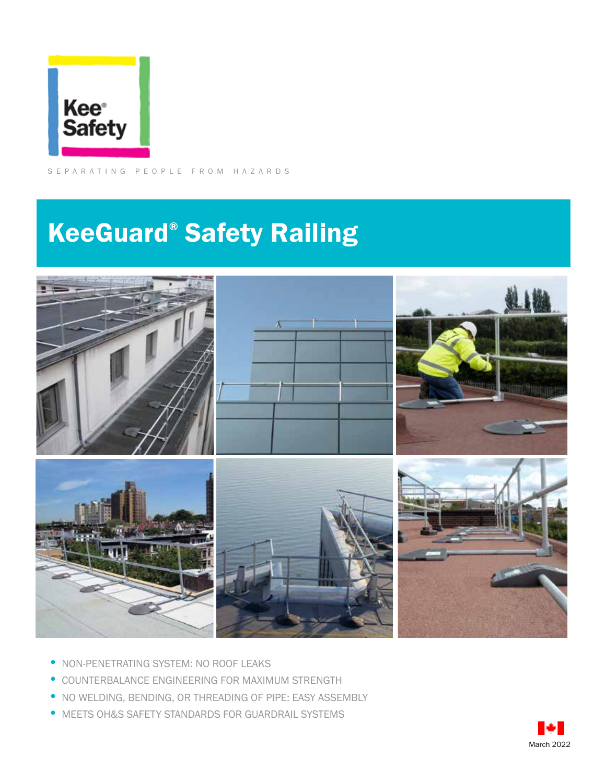

SEPARATING PEOPLE FROM HAZARDS

## KeeGuard® Safety Railing



- NON-PENETRATING SYSTEM: NO ROOF LEAKS
- COUNTERBALANCE ENGINEERING FOR MAXIMUM STRENGTH
- NO WELDING, BENDING, OR THREADING OF PIPE: EASY ASSEMBLY
- MEETS OH&S SAFETY STANDARDS FOR GUARDRAIL SYSTEMS

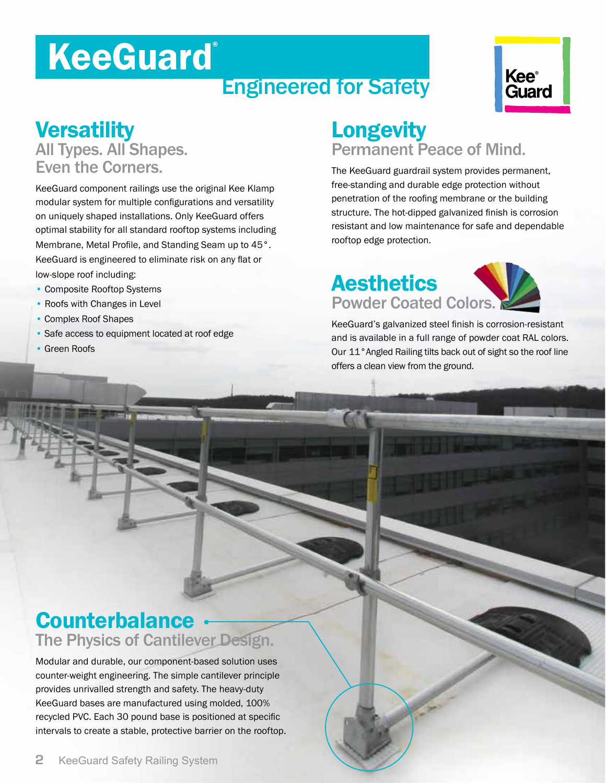# **KeeGuard**®

### Engineered for Safety



### **Versatility** All Types. All Shapes. Even the Corners.

KeeGuard component railings use the original Kee Klamp modular system for multiple configurations and versatility on uniquely shaped installations. Only KeeGuard offers optimal stability for all standard rooftop systems including Membrane, Metal Profile, and Standing Seam up to 45°. KeeGuard is engineered to eliminate risk on any flat or low-slope roof including:

- Composite Rooftop Systems
- Roofs with Changes in Level
- Complex Roof Shapes
- Safe access to equipment located at roof edge
- Green Roofs

### Longevity Permanent Peace of Mind.

The KeeGuard guardrail system provides permanent, free-standing and durable edge protection without penetration of the roofing membrane or the building structure. The hot-dipped galvanized finish is corrosion resistant and low maintenance for safe and dependable rooftop edge protection.

### **Aesthetics** Powder Coated Colors.

KeeGuard's galvanized steel finish is corrosion-resistant and is available in a full range of powder coat RAL colors. Our 11°Angled Railing tilts back out of sight so the roof line offers a clean view from the ground.

### **Counterbalance** The Physics of Cantilever Design.

Modular and durable, our component-based solution uses counter-weight engineering. The simple cantilever principle provides unrivalled strength and safety. The heavy-duty KeeGuard bases are manufactured using molded, 100% recycled PVC. Each 30 pound base is positioned at specific intervals to create a stable, protective barrier on the rooftop.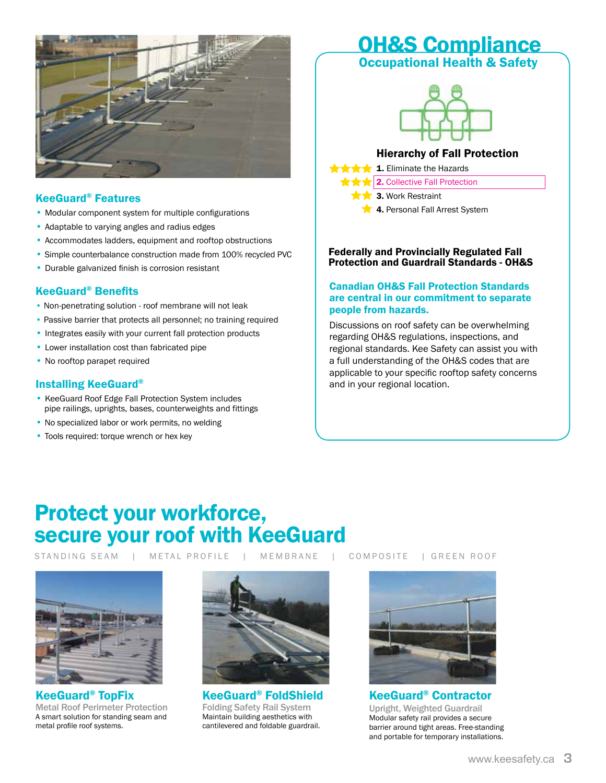

#### KeeGuard® Features

- Modular component system for multiple configurations
- Adaptable to varying angles and radius edges
- Accommodates ladders, equipment and rooftop obstructions
- Simple counterbalance construction made from 100% recycled PVC
- Durable galvanized finish is corrosion resistant

#### KeeGuard® Benefits

- Non-penetrating solution roof membrane will not leak
- Passive barrier that protects all personnel; no training required
- Integrates easily with your current fall protection products
- Lower installation cost than fabricated pipe
- No rooftop parapet required

#### Installing KeeGuard®

- KeeGuard Roof Edge Fall Protection System includes pipe railings, uprights, bases, counterweights and fittings
- No specialized labor or work permits, no welding
- Tools required: torque wrench or hex key

### OH&S Compliance

#### **Occupational Health & Safety**



#### Hierarchy of Fall Protection

**1.** Eliminate the Hazards

- **2.** Collective Fall Protection
	- 3. Work Restraint
	- **4. Personal Fall Arrest System**

#### Federally and Provincially Regulated Fall Protection and Guardrail Standards - OH&S

#### Canadian OH&S Fall Protection Standards are central in our commitment to separate people from hazards.

Discussions on roof safety can be overwhelming regarding OH&S regulations, inspections, and regional standards. Kee Safety can assist you with a full understanding of the OH&S codes that are applicable to your specific rooftop safety concerns and in your regional location.

### Protect your workforce, secure your roof with KeeGuard

STANDING SEAM | METAL PROFILE | MEMBRANE | COMPOSITE | GREEN ROOF



KeeGuard® TopFix Metal Roof Perimeter Protection A smart solution for standing seam and metal profile roof systems.



KeeGuard® FoldShield Folding Safety Rail System Maintain building aesthetics with cantilevered and foldable guardrail.



KeeGuard® Contractor Upright, Weighted Guardrail Modular safety rail provides a secure barrier around tight areas. Free-standing and portable for temporary installations.